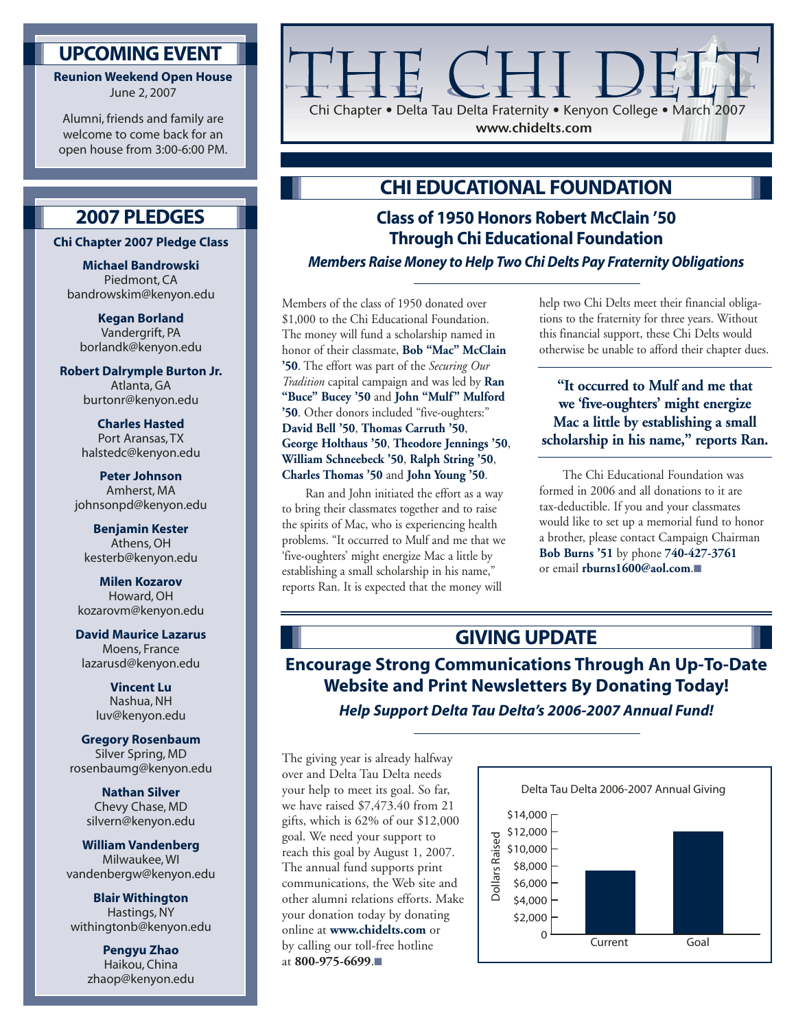# **UPCOMING EVENT**

**Reunion Weekend Open House** June 2, 2007

Alumni, friends and family are welcome to come back for an open house from 3:00-6:00 PM.

# **2007 PLEDGES**

**Chi Chapter 2007 Pledge Class**

**Michael Bandrowski** Piedmont, CA bandrowskim@kenyon.edu

**Kegan Borland** Vandergrift, PA borlandk@kenyon.edu

**Robert Dalrymple Burton Jr.** Atlanta, GA burtonr@kenyon.edu

> **Charles Hasted** Port Aransas, TX halstedc@kenyon.edu

**Peter Johnson** Amherst, MA johnsonpd@kenyon.edu

**Benjamin Kester** Athens, OH kesterb@kenyon.edu

**Milen Kozarov** Howard, OH kozarovm@kenyon.edu

**David Maurice Lazarus** Moens, France lazarusd@kenyon.edu

> **Vincent Lu** Nashua, NH luv@kenyon.edu

**Gregory Rosenbaum** Silver Spring, MD rosenbaumg@kenyon.edu

> **Nathan Silver** Chevy Chase, MD silvern@kenyon.edu

**William Vandenberg** Milwaukee, WI vandenbergw@kenyon.edu

**Blair Withington** Hastings, NY withingtonb@kenyon.edu

> **Pengyu Zhao** Haikou, China zhaop@kenyon.edu

# **www .chidelts.com** Chi Chapter • Delta Tau Delta Fraternity • Kenyon College • March 2007

# **CHI EDUCATIONAL FOUNDATION**

# **Class of 1950 Honors Robert McClain '50 Through Chi Educational Foundation**

*Members Raise Money to Help Two Chi Delts Pay Fraternity Obligations*

Members of the class of 1950 donated over \$1,000 to the Chi Educational Foundation. The money will fund a scholarship named in honor of their classmate, **Bob "Mac" McClain '50**. The effort was part of the *Securing Our Tradition* capital campaign and was led by **Ran "Buce" Bucey '50** and **John "Mulf" Mulford '50**. Other donors included "five-oughters:" **David Bell '50**, **Thomas Carruth '50**, **George Holthaus '50**, **Theodore Jennings '50**, **William Schneebeck '50**, **Ralph String '50**, **Charles Thomas '50** and **John Young '50**.

Ran and John initiated the effort as a way to bring their classmates together and to raise the spirits of Mac, who is experiencing health problems. "It occurred to Mulf and me that we 'five-oughters' might energize Mac a little by establishing a small scholarship in his name," reports Ran. It is expected that the money will

help two Chi Delts meet their financial obligations to the fraternity for three years. Without this financial support, these Chi Delts would otherwise be unable to afford their chapter dues.

### **"It occurred to Mulf and me that we 'five-oughters' might energize Mac a little by establishing a small scholarship in his name," reports Ran.**

The Chi Educational Foundation was formed in 2006 and all donations to it are tax-deductible. If you and your classmates would like to set up a memorial fund to honor a brother, please contact Campaign Chairman **Bob Burns '51** by phone **740-427-3761** or email **rburns1600@aol.com**.■

# **GIVING UPDATE**

**Encourage Strong Communications Through An Up-To-Date Website and Print Newsletters By Donating Today!** *Help Support Delta Tau Delta's 2006-2007 Annual Fund!*

The giving year is already halfway over and Delta Tau Delta needs your help to meet its goal. So far, we have raised \$7,473.40 from 21 gifts, which is 62% of our \$12,000 goal. We need your support to reach this goal by August 1, 2007. The annual fund supports print communications, the Web site and other alumni relations efforts. Make your donation today by donating online at **www.chidelts.com** or by calling our toll-free hotline at **800-975-6699**.■

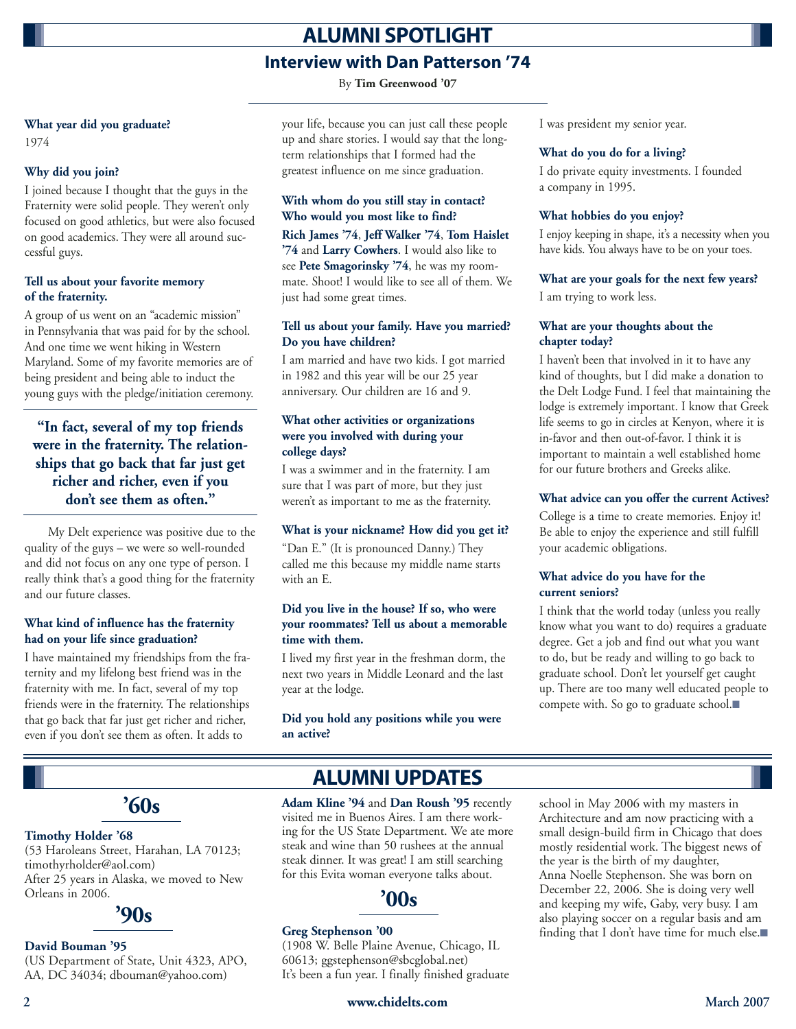# **ALUMNI SPOTLIGHT**

# **Interview with Dan Patterson '74**

By **Tim Greenwood '07**

#### **What year did you graduate?**

1974

### **Why did you join?**

I joined because I thought that the guys in the Fraternity were solid people. They weren't only focused on good athletics, but were also focused on good academics. They were all around successful guys.

#### **Tell us about your favorite memory of the fraternity.**

A group of us went on an "academic mission" in Pennsylvania that was paid for by the school. And one time we went hiking in Western Maryland. Some of my favorite memories are of being president and being able to induct the young guys with the pledge/initiation ceremony.

**"In fact, several of my top friends were in the fraternity. The relationships that go back that far just get richer and richer, even if you don't see them as often."**

My Delt experience was positive due to the quality of the guys – we were so well-rounded and did not focus on any one type of person. I really think that's a good thing for the fraternity and our future classes.

#### **What kind of influence has the fraternity had on your life since graduation?**

I have maintained my friendships from the fraternity and my lifelong best friend was in the fraternity with me. In fact, several of my top friends were in the fraternity. The relationships that go back that far just get richer and richer, even if you don't see them as often. It adds to

your life, because you can just call these people up and share stories. I would say that the longterm relationships that I formed had the greatest influence on me since graduation.

### **With whom do you still stay in contact? Who would you most like to find?**

**Rich James '74**, **Jeff Walker '74**, **Tom Haislet '74** and **Larry Cowhers**. I would also like to see **Pete Smagorinsky '74**, he was my roommate. Shoot! I would like to see all of them. We just had some great times.

#### **Tell us about your family. Have you married? Do you have children?**

I am married and have two kids. I got married in 1982 and this year will be our 25 year anniversary. Our children are 16 and 9.

#### **What other activities or organizations were you involved with during your college days?**

I was a swimmer and in the fraternity. I am sure that I was part of more, but they just weren't as important to me as the fraternity.

#### **What is your nickname? How did you get it?**

"Dan E." (It is pronounced Danny.) They called me this because my middle name starts with an E.

#### **Did you live in the house? If so, who were your roommates? Tell us about a memorable time with them.**

I lived my first year in the freshman dorm, the next two years in Middle Leonard and the last year at the lodge.

**Did you hold any positions while you were an active?**

I was president my senior year.

#### **What do you do for a living?**

I do private equity investments. I founded a company in 1995.

#### **What hobbies do you enjoy?**

I enjoy keeping in shape, it's a necessity when you have kids. You always have to be on your toes.

### **What are your goals for the next few years?**

I am trying to work less.

#### **What are your thoughts about the chapter today?**

I haven't been that involved in it to have any kind of thoughts, but I did make a donation to the Delt Lodge Fund. I feel that maintaining the lodge is extremely important. I know that Greek life seems to go in circles at Kenyon, where it is in-favor and then out-of-favor. I think it is important to maintain a well established home for our future brothers and Greeks alike.

#### **What advice can you offer the current Actives?**

College is a time to create memories. Enjoy it! Be able to enjoy the experience and still fulfill your academic obligations.

#### **What advice do you have for the current seniors?**

I think that the world today (unless you really know what you want to do) requires a graduate degree. Get a job and find out what you want to do, but be ready and willing to go back to graduate school. Don't let yourself get caught up. There are too many well educated people to compete with. So go to graduate school.■



#### **Timothy Holder '68**

(53 Haroleans Street, Harahan, LA 70123; timothyrholder@aol.com) After 25 years in Alaska, we moved to New Orleans in 2006. **'90s '00s**

#### **David Bouman '95**

(US Department of State, Unit 4323, APO, AA, DC 34034; dbouman@yahoo.com)

# **ALUMNI UPDATES**

**Adam Kline '94** and **Dan Roush '95** recently visited me in Buenos Aires. I am there working for the US State Department. We ate more steak and wine than 50 rushees at the annual steak dinner. It was great! I am still searching for this Evita woman everyone talks about.

#### **Greg Stephenson '00**

(1908 W. Belle Plaine Avenue, Chicago, IL 60613; ggstephenson@sbcglobal.net) It's been a fun year. I finally finished graduate school in May 2006 with my masters in Architecture and am now practicing with a small design-build firm in Chicago that does mostly residential work. The biggest news of the year is the birth of my daughter, Anna Noelle Stephenson. She was born on December 22, 2006. She is doing very well and keeping my wife, Gaby, very busy. I am also playing soccer on a regular basis and am finding that I don't have time for much else.■

**2 www.chidelts.com March 2007**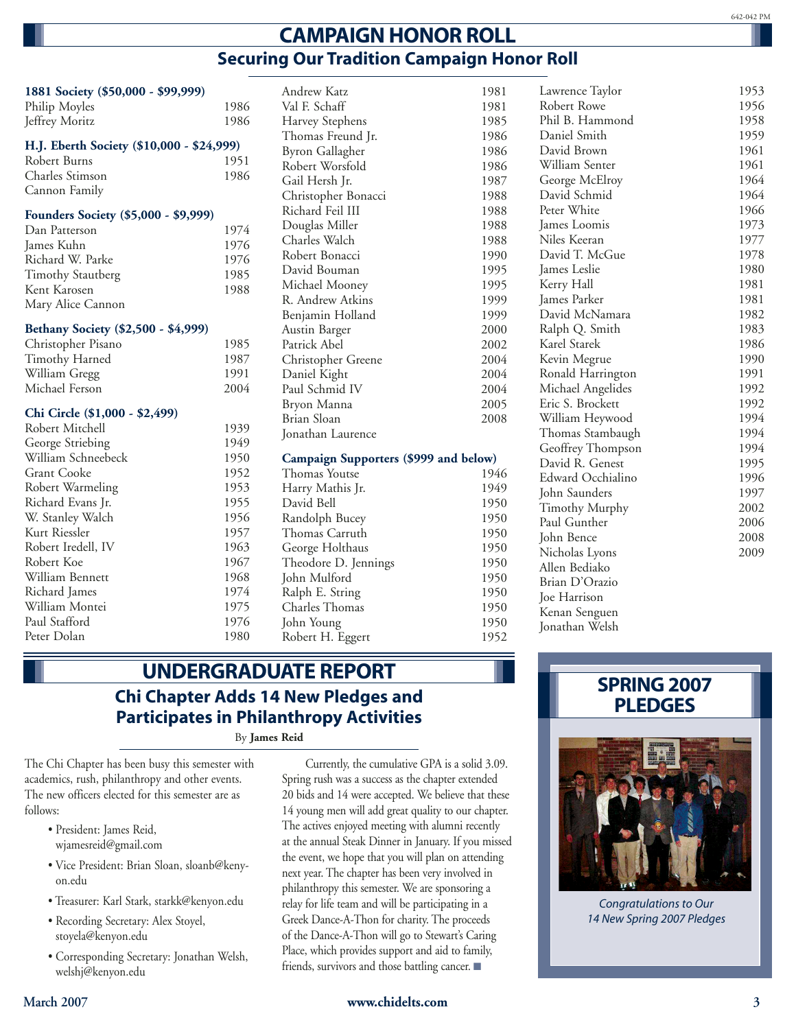# **Securing Our Tradition Campaign Honor Roll CAMPAIGN HONOR ROLL**

| 1881 Society (\$50,000 - \$99,999)        |      | А                 |
|-------------------------------------------|------|-------------------|
| Philip Moyles                             | 1986 | $\overline{\vee}$ |
| Jeffrey Moritz                            | 1986 | Н                 |
|                                           |      | T                 |
| H.J. Eberth Society (\$10,000 - \$24,999) |      |                   |
| Robert Burns                              | 1951 | B<br>R            |
| Charles Stimson                           | 1986 | G                 |
| Cannon Family                             |      | $\overline{C}$    |
| Founders Society (\$5,000 - \$9,999)      |      | $\mathbb R$       |
| Dan Patterson                             | 1974 | $\Gamma$          |
| James Kuhn                                | 1976 | $\mathsf{C}$      |
| Richard W. Parke                          | 1976 | $\mathbb R$       |
| <b>Timothy Stautberg</b>                  | 1985 | $\Gamma$          |
| Kent Karosen                              | 1988 | N                 |
| Mary Alice Cannon                         |      | $\mathbb R$       |
|                                           |      | B                 |
| Bethany Society (\$2,500 - \$4,999)       |      | $\overline{A}$    |
| Christopher Pisano                        | 1985 | $P_{i}$           |
| Timothy Harned                            | 1987 | C                 |
| William Gregg                             | 1991 | $\Gamma$          |
| Michael Ferson                            | 2004 | $P_{i}$           |
| Chi Circle (\$1,000 - \$2,499)            |      | B                 |
| Robert Mitchell                           | 1939 | B                 |
| George Striebing                          | 1949 | Jc                |
| William Schneebeck                        | 1950 | C                 |
| <b>Grant Cooke</b>                        | 1952 | T                 |
| Robert Warmeling                          | 1953 | Н                 |
| Richard Evans Jr.                         | 1955 | D                 |
| W. Stanley Walch                          | 1956 | R                 |
| Kurt Riessler                             | 1957 | T                 |
| Robert Iredell, IV                        | 1963 | G                 |
| Robert Koe                                | 1967 | T                 |
| William Bennett                           | 1968 | Jc                |
| Richard James                             | 1974 | $\mathbb R$       |
| William Montei                            | 1975 | C                 |
| Paul Stafford                             | 1976 | Jc                |
| Peter Dolan                               | 1980 | $\mathbb R$       |
|                                           |      |                   |

|                                              | <b>Andrew Katz</b>     | 1981 |
|----------------------------------------------|------------------------|------|
|                                              | Val F. Schaff          | 1981 |
|                                              | Harvey Stephens        | 1985 |
|                                              | Thomas Freund Jr.      | 1986 |
|                                              | <b>Byron Gallagher</b> | 1986 |
|                                              | Robert Worsfold        | 1986 |
|                                              | Gail Hersh Jr.         | 1987 |
|                                              | Christopher Bonacci    | 1988 |
|                                              | Richard Feil III       | 1988 |
|                                              | Douglas Miller         | 1988 |
|                                              | Charles Walch          | 1988 |
|                                              | Robert Bonacci         | 1990 |
|                                              | David Bouman           | 1995 |
|                                              | Michael Mooney         | 1995 |
|                                              | R. Andrew Atkins       | 1999 |
|                                              | Benjamin Holland       | 1999 |
|                                              | Austin Barger          | 2000 |
|                                              | Patrick Abel           | 2002 |
|                                              | Christopher Greene     | 2004 |
|                                              | Daniel Kight           | 2004 |
|                                              | Paul Schmid IV         | 2004 |
|                                              | Bryon Manna            | 2005 |
|                                              | Brian Sloan            | 2008 |
|                                              | Jonathan Laurence      |      |
| <b>Campaign Supporters (\$999 and below)</b> |                        |      |
|                                              | Thomas Youtse          | 1946 |
|                                              | Harry Mathis Jr.       | 1949 |
|                                              | David Bell             | 1950 |
|                                              | Randolph Bucey         | 1950 |
|                                              | Thomas Carruth         | 1950 |
|                                              | George Holthaus        | 1950 |
|                                              | Theodore D. Jennings   | 1950 |
|                                              | John Mulford           | 1950 |
|                                              | Ralph E. String        | 1950 |
|                                              | Charles Thomas         | 1950 |
|                                              | John Young             | 1950 |
|                                              | Robert H. Eggert       | 1952 |
|                                              |                        |      |

# **UNDERGRADUATE REPORT Chi Chapter Adds 14 New Pledges and Participates in Philanthropy Activities**

By **James Reid**

The Chi Chapter has been busy this semester with academics, rush, philanthropy and other events. The new officers elected for this semester are as follows:

- President: James Reid, wjamesreid@gmail.com
- Vice President: Brian Sloan, sloanb@kenyon.edu
- Treasurer: Karl Stark, starkk@kenyon.edu
- Recording Secretary: Alex Stoyel, stoyela@kenyon.edu
- Corresponding Secretary: Jonathan Welsh, welshj@kenyon.edu

Currently, the cumulative GPA is a solid 3.09. Spring rush was a success as the chapter extended 20 bids and 14 were accepted. We believe that these 14 young men will add great quality to our chapter. The actives enjoyed meeting with alumni recently at the annual Steak Dinner in January. If you missed the event, we hope that you will plan on attending next year. The chapter has been very involved in philanthropy this semester. We are sponsoring a relay for life team and will be participating in a Greek Dance-A-Thon for charity. The proceeds of the Dance-A-Thon will go to Stewart's Caring Place, which provides support and aid to family, friends, survivors and those battling cancer. ■

| Lawrence Taylor   | 1953 |
|-------------------|------|
| Robert Rowe       | 1956 |
| Phil B. Hammond   | 1958 |
| Daniel Smith      | 1959 |
| David Brown       | 1961 |
| William Senter    | 1961 |
| George McElroy    | 1964 |
| David Schmid      | 1964 |
| Peter White       | 1966 |
| James Loomis      | 1973 |
| Niles Keeran      | 1977 |
| David T. McGue    | 1978 |
| James Leslie      | 1980 |
| Kerry Hall        | 1981 |
| James Parker      | 1981 |
| David McNamara    | 1982 |
| Ralph Q. Smith    | 1983 |
| Karel Starek      | 1986 |
| Kevin Megrue      | 1990 |
| Ronald Harrington | 1991 |
| Michael Angelides | 1992 |
| Eric S. Brockett  | 1992 |
| William Heywood   | 1994 |
| Thomas Stambaugh  | 1994 |
| Geoffrey Thompson | 1994 |
| David R. Genest   | 1995 |
| Edward Occhialino | 1996 |
| John Saunders     | 1997 |
| Timothy Murphy    | 2002 |
| Paul Gunther      | 2006 |
| John Bence        | 2008 |
| Nicholas Lyons    | 2009 |
| Allen Bediako     |      |
| Brian D'Orazio    |      |
| Joe Harrison      |      |
| Kenan Senguen     |      |

# **SPRING 2007 PLEDGES**

Jonathan Welsh



*Congratulations to Our 14 New Spring 2007 Pledges*